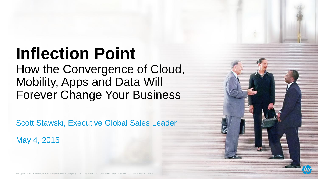# **Inflection Point** How the Convergence of Cloud, Mobility, Apps and Data Will Forever Change Your Business

Scott Stawski, Executive Global Sales Leader

May 4, 2015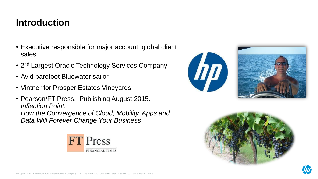# **Introduction**

- Executive responsible for major account, global client sales
- 2<sup>nd</sup> Largest Oracle Technology Services Company
- Avid barefoot Bluewater sailor
- Vintner for Prosper Estates Vineyards
- Pearson/FT Press. Publishing August 2015. *Inflection Point. How the Convergence of Cloud, Mobility, Apps and Data Will Forever Change Your Business*







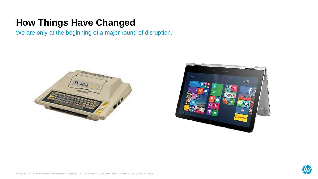# **How Things Have Changed**

We are only at the beginning of a major round of disruption.





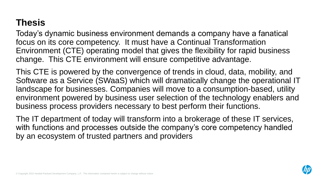# **Thesis**

Today's dynamic business environment demands a company have a fanatical focus on its core competency. It must have a Continual Transformation Environment (CTE) operating model that gives the flexibility for rapid business change. This CTE environment will ensure competitive advantage.

This CTE is powered by the convergence of trends in cloud, data, mobility, and Software as a Service (SWaaS) which will dramatically change the operational IT landscape for businesses. Companies will move to a consumption-based, utility environment powered by business user selection of the technology enablers and business process providers necessary to best perform their functions.

The IT department of today will transform into a brokerage of these IT services, with functions and processes outside the company's core competency handled by an ecosystem of trusted partners and providers

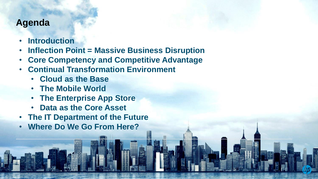## **Agenda**

- **Introduction**
- **Inflection Point = Massive Business Disruption**
- **Core Competency and Competitive Advantage**
- **Continual Transformation Environment**
	- **Cloud as the Base**
	- **The Mobile World**
	- **The Enterprise App Store**
	- **Data as the Core Asset**
- **The IT Department of the Future**

© Copyright 2015 Hewlett-Pack-rd Development Company, L.P. The information contained herein is subject to change without notice.

• **Where Do We Go From Here?**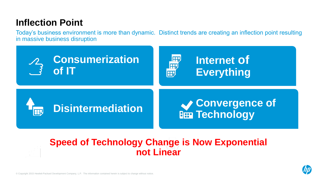# **Inflection Point**

Today's business environment is more than dynamic. Distinct trends are creating an inflection point resulting in massive business disruption



# **Speed of Technology Change is Now Exponential not Linear**

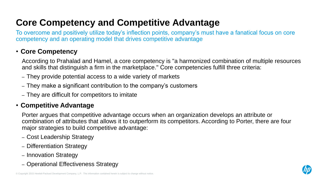# **Core Competency and Competitive Advantage**

To overcome and positively utilize today's inflection points, company's must have a fanatical focus on core competency and an operating model that drives competitive advantage

## • **Core Competency**

According to Prahalad and Hamel, a core competency is "a harmonized combination of multiple resources and skills that distinguish a firm in the marketplace." Core competencies fulfill three criteria:

- They provide potential access to a wide variety of markets
- They make a significant contribution to the company's customers
- They are difficult for competitors to imitate

## • **Competitive Advantage**

Porter argues that competitive advantage occurs when an organization develops an attribute or combination of attributes that allows it to outperform its competitors. According to Porter, there are four major strategies to build competitive advantage:

- Cost Leadership Strategy
- Differentiation Strategy
- Innovation Strategy
- Operational Effectiveness Strategy

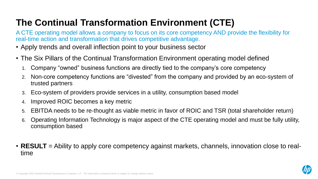# **The Continual Transformation Environment (CTE)**

A CTE operating model allows a company to focus on its core competency AND provide the flexibility for real-time action and transformation that drives competitive advantage.

- Apply trends and overall inflection point to your business sector
- The Six Pillars of the Continual Transformation Environment operating model defined
	- 1. Company "owned" business functions are directly tied to the company's core competency
	- 2. Non-core competency functions are "divested" from the company and provided by an eco-system of trusted partners
	- 3. Eco-system of providers provide services in a utility, consumption based model
	- 4. Improved ROIC becomes a key metric
	- 5. EBITDA needs to be re-thought as viable metric in favor of ROIC and TSR (total shareholder return)
	- 6. Operating Information Technology is major aspect of the CTE operating model and must be fully utility, consumption based
- **RESULT** = Ability to apply core competency against markets, channels, innovation close to realtime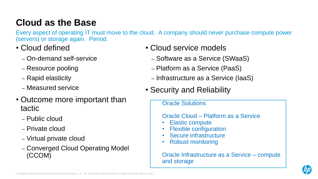# **Cloud as the Base**

Every aspect of operating IT must move to the cloud. A company should never purchase compute power (servers) or storage again. Period.

- Cloud defined
	- On-demand self-service
	- Resource pooling
	- Rapid elasticity
	- Measured service
- Outcome more important than tactic
	- Public cloud
	- Private cloud
	- Virtual private cloud
	- Converged Cloud Operating Model (CCOM)
- Cloud service models
	- Software as a Service (SWaaS)
	- Platform as a Service (PaaS)
	- Infrastructure as a Service (IaaS)
- Security and Reliability

#### Oracle Solutions

Oracle Cloud – Platform as a Service

- Elastic compute
- **Flexible configuration**
- Secure infrastructure
- Robust monitoring

Oracle Infrastructure as a Service – compute and storage

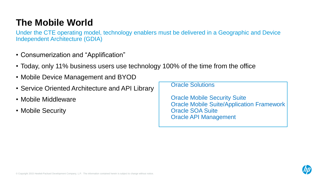# **The Mobile World**

Under the CTE operating model, technology enablers must be delivered in a Geographic and Device Independent Architecture (GDIA)

- Consumerization and "Applification"
- Today, only 11% business users use technology 100% of the time from the office
- Mobile Device Management and BYOD
- Service Oriented Architecture and API Library
- Mobile Middleware
- Mobile Security

Oracle Solutions

Oracle Mobile Security Suite Oracle Mobile Suite/Application Framework Oracle SOA Suite Oracle API Management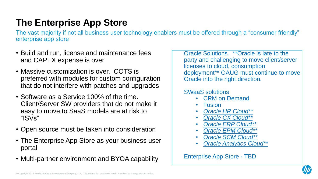# **The Enterprise App Store**

The vast majority if not all business user technology enablers must be offered through a "consumer friendly" enterprise app store

- Build and run, license and maintenance fees and CAPEX expense is over
- Massive customization is over. COTS is preferred with modules for custom configuration that do not interfere with patches and upgrades
- Software as a Service 100% of the time. Client/Server SW providers that do not make it easy to move to SaaS models are at risk to "ISVs"
- Open source must be taken into consideration
- The Enterprise App Store as your business user portal
- Multi-partner environment and BYOA capability

Oracle Solutions. \*\*Oracle is late to the party and challenging to move client/server licenses to cloud, consumption deployment\*\* OAUG must continue to move Oracle into the right direction.

### SWaaS solutions

- CRM on Demand
- Fusion
- *Oracle HR Cloud\*\**
- *Oracle CX Cloud\*\**
- *Oracle ERP Cloud\*\**
- *Oracle EPM Cloud\*\**
- *Oracle SCM Cloud\*\**
- *Oracle Analytics Cloud\*\**

Enterprise App Store - TBD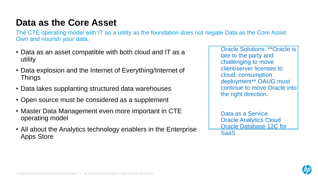# **Data as the Core Asset**

The CTE operating model with IT as a utility as the foundation does not negate Data as the Core Asset. Own and nourish your data.

- Data as an asset compatible with both cloud and IT as a utility
- Data explosion and the Internet of Everything/Internet of Things
- Data lakes supplanting structured data warehouses
- Open source must be considered as a supplement
- Master Data Management even more important in CTE operating model
- All about the Analytics technology enablers in the Enterprise Apps Store

Oracle Solutions. \*\*Oracle is late to the party and challenging to move client/server licenses to cloud, consumption deployment\*\* OAUG must continue to move Oracle into the right direction.

Data as a Service Oracle Analytics Cloud Oracle Database 12C for SaaS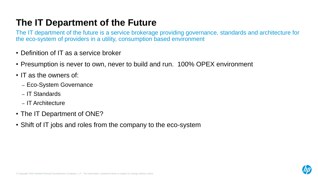# **The IT Department of the Future**

The IT department of the future is a service brokerage providing governance, standards and architecture for the eco-system of providers in a utility, consumption based environment

- Definition of IT as a service broker
- Presumption is never to own, never to build and run. 100% OPEX environment
- IT as the owners of:
	- Eco-System Governance
	- IT Standards
	- IT Architecture
- The IT Department of ONE?
- Shift of IT jobs and roles from the company to the eco-system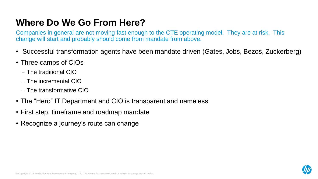# **Where Do We Go From Here?**

Companies in general are not moving fast enough to the CTE operating model. They are at risk. This change will start and probably should come from mandate from above.

- Successful transformation agents have been mandate driven (Gates, Jobs, Bezos, Zuckerberg)
- Three camps of CIOs
	- The traditional CIO
	- The incremental CIO
	- The transformative CIO
- The "Hero" IT Department and CIO is transparent and nameless
- First step, timeframe and roadmap mandate
- Recognize a journey's route can change

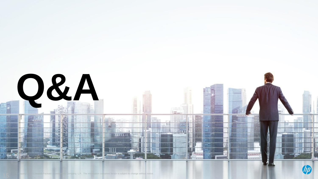